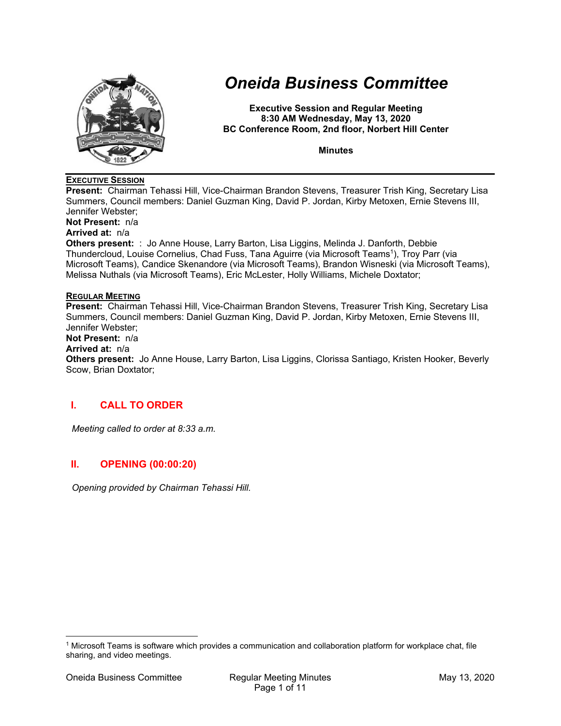

# *Oneida Business Committee*

**Executive Session and Regular Meeting 8:30 AM Wednesday, May 13, 2020 BC Conference Room, 2nd floor, Norbert Hill Center** 

**Minutes** 

## **EXECUTIVE SESSION**

**Present:** Chairman Tehassi Hill, Vice-Chairman Brandon Stevens, Treasurer Trish King, Secretary Lisa Summers, Council members: Daniel Guzman King, David P. Jordan, Kirby Metoxen, Ernie Stevens III, Jennifer Webster;

**Not Present:** n/a

# **Arrived at:** n/a

**Others present:** : Jo Anne House, Larry Barton, Lisa Liggins, Melinda J. Danforth, Debbie Thundercloud, Louise Cornelius, Chad Fuss, Tana Aguirre (via Microsoft Teams<sup>1</sup>), Troy Parr (via Microsoft Teams), Candice Skenandore (via Microsoft Teams), Brandon Wisneski (via Microsoft Teams), Melissa Nuthals (via Microsoft Teams), Eric McLester, Holly Williams, Michele Doxtator;

## **REGULAR MEETING**

**Present:** Chairman Tehassi Hill, Vice-Chairman Brandon Stevens, Treasurer Trish King, Secretary Lisa Summers, Council members: Daniel Guzman King, David P. Jordan, Kirby Metoxen, Ernie Stevens III, Jennifer Webster;

**Not Present:** n/a

#### **Arrived at:** n/a

**Others present:** Jo Anne House, Larry Barton, Lisa Liggins, Clorissa Santiago, Kristen Hooker, Beverly Scow, Brian Doxtator;

# **I. CALL TO ORDER**

*Meeting called to order at 8:33 a.m.* 

# **II. OPENING (00:00:20)**

*Opening provided by Chairman Tehassi Hill.* 

<sup>1</sup> Microsoft Teams is software which provides a communication and collaboration platform for workplace chat, file sharing, and video meetings.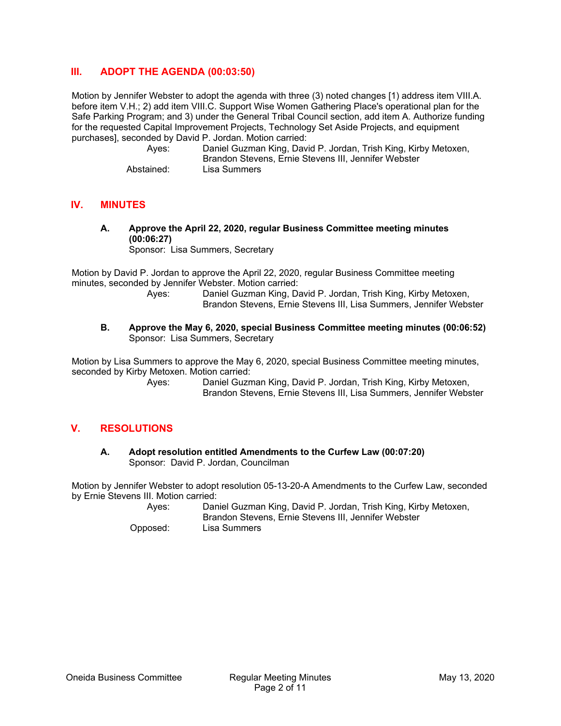# **III. ADOPT THE AGENDA (00:03:50)**

Motion by Jennifer Webster to adopt the agenda with three (3) noted changes [1) address item VIII.A. before item V.H.; 2) add item VIII.C. Support Wise Women Gathering Place's operational plan for the Safe Parking Program; and 3) under the General Tribal Council section, add item A. Authorize funding for the requested Capital Improvement Projects, Technology Set Aside Projects, and equipment purchases], seconded by David P. Jordan. Motion carried:

 Ayes: Daniel Guzman King, David P. Jordan, Trish King, Kirby Metoxen, Brandon Stevens, Ernie Stevens III, Jennifer Webster Abstained: Lisa Summers

## **IV. MINUTES**

**A. Approve the April 22, 2020, regular Business Committee meeting minutes (00:06:27)**  Sponsor: Lisa Summers, Secretary

Motion by David P. Jordan to approve the April 22, 2020, regular Business Committee meeting minutes, seconded by Jennifer Webster. Motion carried:

- Ayes: Daniel Guzman King, David P. Jordan, Trish King, Kirby Metoxen, Brandon Stevens, Ernie Stevens III, Lisa Summers, Jennifer Webster
- **B. Approve the May 6, 2020, special Business Committee meeting minutes (00:06:52)**  Sponsor: Lisa Summers, Secretary

Motion by Lisa Summers to approve the May 6, 2020, special Business Committee meeting minutes, seconded by Kirby Metoxen. Motion carried:

> Ayes: Daniel Guzman King, David P. Jordan, Trish King, Kirby Metoxen, Brandon Stevens, Ernie Stevens III, Lisa Summers, Jennifer Webster

# **V. RESOLUTIONS**

**A. Adopt resolution entitled Amendments to the Curfew Law (00:07:20)**  Sponsor: David P. Jordan, Councilman

Motion by Jennifer Webster to adopt resolution 05-13-20-A Amendments to the Curfew Law, seconded by Ernie Stevens III. Motion carried:

> Ayes: Daniel Guzman King, David P. Jordan, Trish King, Kirby Metoxen, Brandon Stevens, Ernie Stevens III, Jennifer Webster Opposed: Lisa Summers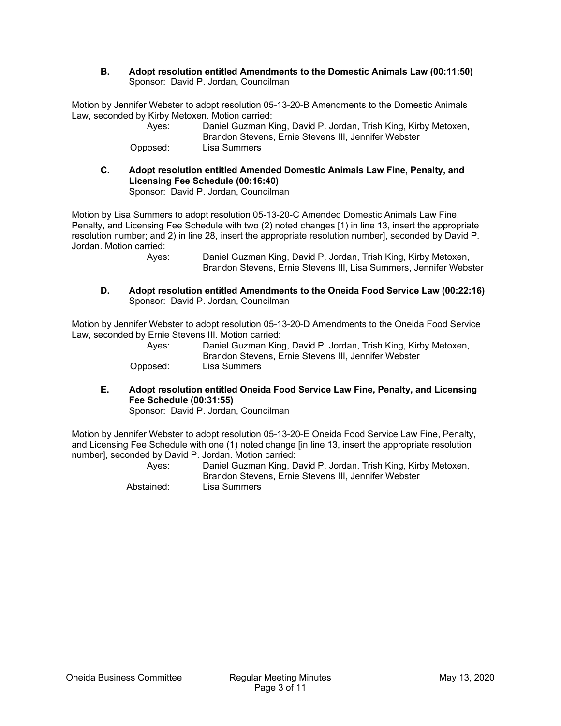**B. Adopt resolution entitled Amendments to the Domestic Animals Law (00:11:50)**  Sponsor: David P. Jordan, Councilman

Motion by Jennifer Webster to adopt resolution 05-13-20-B Amendments to the Domestic Animals Law, seconded by Kirby Metoxen. Motion carried:

| Aves:    | Daniel Guzman King, David P. Jordan, Trish King, Kirby Metoxen, |
|----------|-----------------------------------------------------------------|
|          | Brandon Stevens, Ernie Stevens III, Jennifer Webster            |
| Opposed: | Lisa Summers                                                    |

**C. Adopt resolution entitled Amended Domestic Animals Law Fine, Penalty, and Licensing Fee Schedule (00:16:40)**  Sponsor: David P. Jordan, Councilman

Motion by Lisa Summers to adopt resolution 05-13-20-C Amended Domestic Animals Law Fine, Penalty, and Licensing Fee Schedule with two (2) noted changes [1) in line 13, insert the appropriate resolution number; and 2) in line 28, insert the appropriate resolution number], seconded by David P. Jordan. Motion carried:

 Ayes: Daniel Guzman King, David P. Jordan, Trish King, Kirby Metoxen, Brandon Stevens, Ernie Stevens III, Lisa Summers, Jennifer Webster

**D. Adopt resolution entitled Amendments to the Oneida Food Service Law (00:22:16)**  Sponsor: David P. Jordan, Councilman

Motion by Jennifer Webster to adopt resolution 05-13-20-D Amendments to the Oneida Food Service Law, seconded by Ernie Stevens III. Motion carried:

| Aves:    | Daniel Guzman King, David P. Jordan, Trish King, Kirby Metoxen,<br>Brandon Stevens, Ernie Stevens III, Jennifer Webster |
|----------|-------------------------------------------------------------------------------------------------------------------------|
| Opposed: | Lisa Summers                                                                                                            |

**E. Adopt resolution entitled Oneida Food Service Law Fine, Penalty, and Licensing Fee Schedule (00:31:55)** 

Sponsor: David P. Jordan, Councilman

Motion by Jennifer Webster to adopt resolution 05-13-20-E Oneida Food Service Law Fine, Penalty, and Licensing Fee Schedule with one (1) noted change [in line 13, insert the appropriate resolution number], seconded by David P. Jordan. Motion carried:

| Aves:      | Daniel Guzman King, David P. Jordan, Trish King, Kirby Metoxen, |
|------------|-----------------------------------------------------------------|
|            | Brandon Stevens, Ernie Stevens III, Jennifer Webster            |
| Abstained: | Lisa Summers                                                    |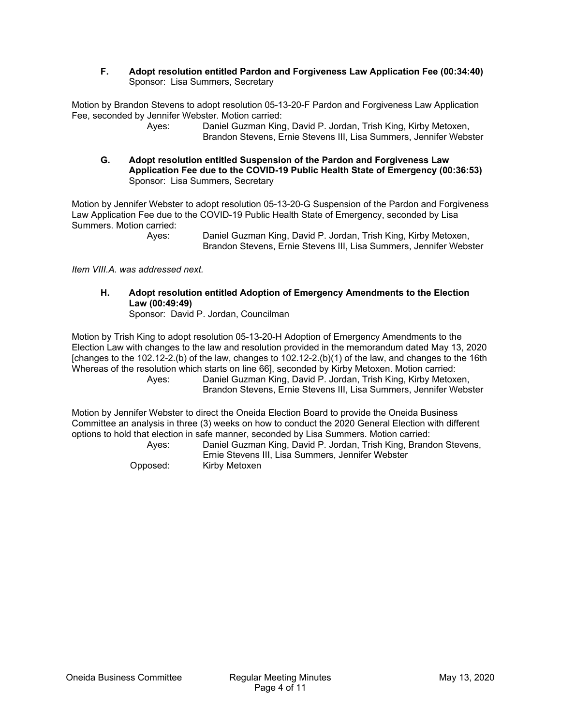### **F. Adopt resolution entitled Pardon and Forgiveness Law Application Fee (00:34:40)**  Sponsor: Lisa Summers, Secretary

Motion by Brandon Stevens to adopt resolution 05-13-20-F Pardon and Forgiveness Law Application Fee, seconded by Jennifer Webster. Motion carried:

 Ayes: Daniel Guzman King, David P. Jordan, Trish King, Kirby Metoxen, Brandon Stevens, Ernie Stevens III, Lisa Summers, Jennifer Webster

**G. Adopt resolution entitled Suspension of the Pardon and Forgiveness Law Application Fee due to the COVID-19 Public Health State of Emergency (00:36:53)**  Sponsor: Lisa Summers, Secretary

Motion by Jennifer Webster to adopt resolution 05-13-20-G Suspension of the Pardon and Forgiveness Law Application Fee due to the COVID-19 Public Health State of Emergency, seconded by Lisa Summers. Motion carried:

 Ayes: Daniel Guzman King, David P. Jordan, Trish King, Kirby Metoxen, Brandon Stevens, Ernie Stevens III, Lisa Summers, Jennifer Webster

*Item VIII.A. was addressed next.* 

**H. Adopt resolution entitled Adoption of Emergency Amendments to the Election Law (00:49:49)**  Sponsor: David P. Jordan, Councilman

Motion by Trish King to adopt resolution 05-13-20-H Adoption of Emergency Amendments to the Election Law with changes to the law and resolution provided in the memorandum dated May 13, 2020 [changes to the 102.12-2.(b) of the law, changes to 102.12-2.(b)(1) of the law, and changes to the 16th Whereas of the resolution which starts on line 66], seconded by Kirby Metoxen. Motion carried: Ayes: Daniel Guzman King, David P. Jordan, Trish King, Kirby Metoxen, Brandon Stevens, Ernie Stevens III, Lisa Summers, Jennifer Webster

Motion by Jennifer Webster to direct the Oneida Election Board to provide the Oneida Business Committee an analysis in three (3) weeks on how to conduct the 2020 General Election with different options to hold that election in safe manner, seconded by Lisa Summers. Motion carried:

| Aves:    | Daniel Guzman King, David P. Jordan, Trish King, Brandon Stevens, |
|----------|-------------------------------------------------------------------|
|          | Ernie Stevens III, Lisa Summers, Jennifer Webster                 |
| Opposed: | Kirby Metoxen                                                     |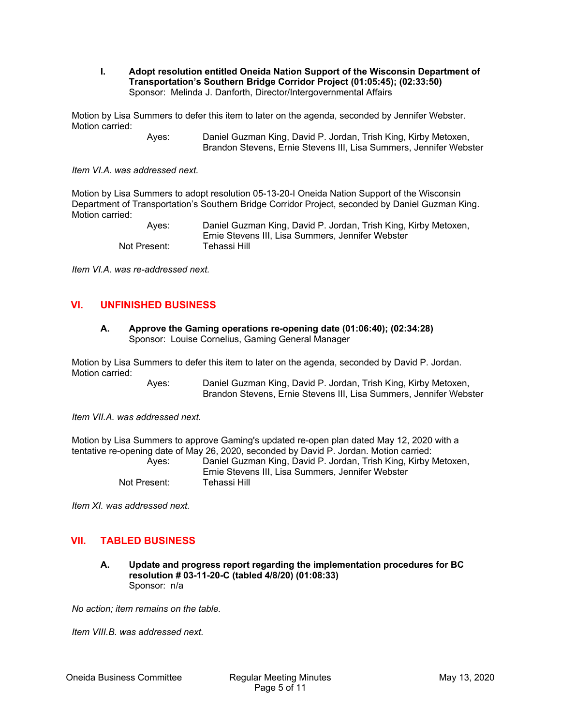#### **I. Adopt resolution entitled Oneida Nation Support of the Wisconsin Department of Transportation's Southern Bridge Corridor Project (01:05:45); (02:33:50)**  Sponsor: Melinda J. Danforth, Director/Intergovernmental Affairs

Motion by Lisa Summers to defer this item to later on the agenda, seconded by Jennifer Webster. Motion carried:

> Ayes: Daniel Guzman King, David P. Jordan, Trish King, Kirby Metoxen, Brandon Stevens, Ernie Stevens III, Lisa Summers, Jennifer Webster

*Item VI.A. was addressed next.* 

Motion by Lisa Summers to adopt resolution 05-13-20-I Oneida Nation Support of the Wisconsin Department of Transportation's Southern Bridge Corridor Project, seconded by Daniel Guzman King. Motion carried:

| Aves:        | Daniel Guzman King, David P. Jordan, Trish King, Kirby Metoxen, |
|--------------|-----------------------------------------------------------------|
|              | Ernie Stevens III. Lisa Summers. Jennifer Webster               |
| Not Present: | Tehassi Hill                                                    |

*Item VI.A. was re-addressed next.* 

## **VI. UNFINISHED BUSINESS**

#### **A. Approve the Gaming operations re-opening date (01:06:40); (02:34:28)**  Sponsor: Louise Cornelius, Gaming General Manager

Motion by Lisa Summers to defer this item to later on the agenda, seconded by David P. Jordan. Motion carried:

> Ayes: Daniel Guzman King, David P. Jordan, Trish King, Kirby Metoxen, Brandon Stevens, Ernie Stevens III, Lisa Summers, Jennifer Webster

*Item VII.A. was addressed next.* 

Motion by Lisa Summers to approve Gaming's updated re-open plan dated May 12, 2020 with a tentative re-opening date of May 26, 2020, seconded by David P. Jordan. Motion carried: Ayes: Daniel Guzman King, David P. Jordan, Trish King, Kirby Metoxen,

Ernie Stevens III, Lisa Summers, Jennifer Webster Not Present: Tehassi Hill

*Item XI. was addressed next.* 

## **VII. TABLED BUSINESS**

**A. Update and progress report regarding the implementation procedures for BC resolution # 03-11-20-C (tabled 4/8/20) (01:08:33)**  Sponsor: n/a

*No action; item remains on the table.* 

*Item VIII.B. was addressed next.*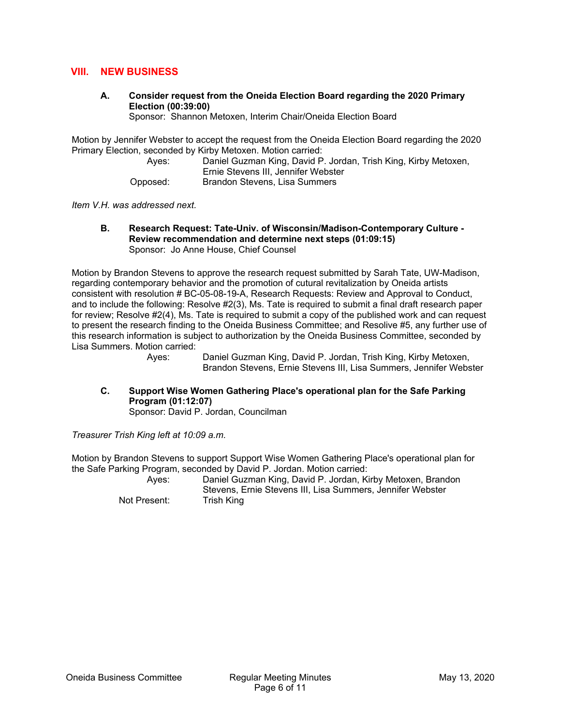## **VIII. NEW BUSINESS**

**A. Consider request from the Oneida Election Board regarding the 2020 Primary Election (00:39:00)** 

Sponsor: Shannon Metoxen, Interim Chair/Oneida Election Board

Motion by Jennifer Webster to accept the request from the Oneida Election Board regarding the 2020 Primary Election, seconded by Kirby Metoxen. Motion carried:

| Aves:    | Daniel Guzman King, David P. Jordan, Trish King, Kirby Metoxen, |
|----------|-----------------------------------------------------------------|
|          | Ernie Stevens III, Jennifer Webster                             |
| Opposed: | Brandon Stevens, Lisa Summers                                   |

*Item V.H. was addressed next.* 

**B. Research Request: Tate-Univ. of Wisconsin/Madison-Contemporary Culture - Review recommendation and determine next steps (01:09:15)**  Sponsor: Jo Anne House, Chief Counsel

Motion by Brandon Stevens to approve the research request submitted by Sarah Tate, UW-Madison, regarding contemporary behavior and the promotion of cutural revitalization by Oneida artists consistent with resolution # BC-05-08-19-A, Research Requests: Review and Approval to Conduct, and to include the following: Resolve #2(3), Ms. Tate is required to submit a final draft research paper for review; Resolve #2(4), Ms. Tate is required to submit a copy of the published work and can request to present the research finding to the Oneida Business Committee; and Resolive #5, any further use of this research information is subject to authorization by the Oneida Business Committee, seconded by Lisa Summers. Motion carried:

> Ayes: Daniel Guzman King, David P. Jordan, Trish King, Kirby Metoxen, Brandon Stevens, Ernie Stevens III, Lisa Summers, Jennifer Webster

**C. Support Wise Women Gathering Place's operational plan for the Safe Parking Program (01:12:07)** 

Sponsor: David P. Jordan, Councilman

*Treasurer Trish King left at 10:09 a.m.* 

Motion by Brandon Stevens to support Support Wise Women Gathering Place's operational plan for the Safe Parking Program, seconded by David P. Jordan. Motion carried:

 Ayes: Daniel Guzman King, David P. Jordan, Kirby Metoxen, Brandon Stevens, Ernie Stevens III, Lisa Summers, Jennifer Webster Not Present: Trish King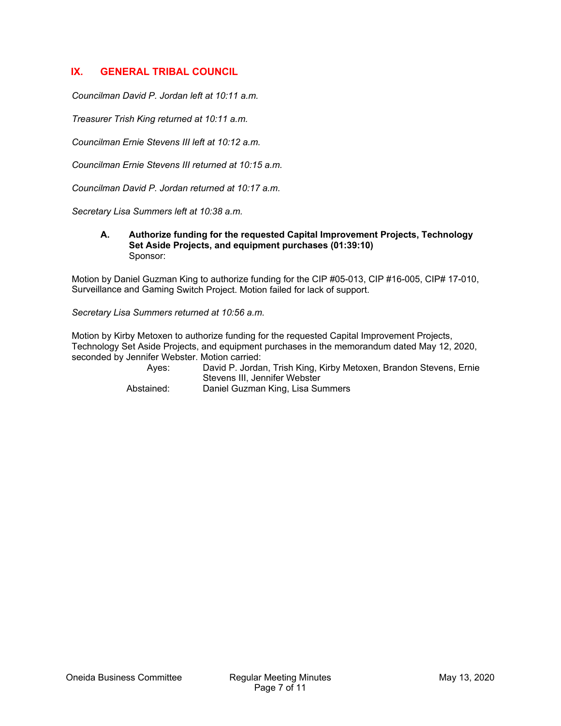# **IX. GENERAL TRIBAL COUNCIL**

*Councilman David P. Jordan left at 10:11 a.m.* 

*Treasurer Trish King returned at 10:11 a.m.* 

*Councilman Ernie Stevens III left at 10:12 a.m.* 

*Councilman Ernie Stevens III returned at 10:15 a.m.* 

*Councilman David P. Jordan returned at 10:17 a.m.* 

*Secretary Lisa Summers left at 10:38 a.m.* 

#### **A. Authorize funding for the requested Capital Improvement Projects, Technology Set Aside Projects, and equipment purchases (01:39:10)**  Sponsor:

Motion by Daniel Guzman King to authorize funding for the CIP #05-013, CIP #16-005, CIP# 17-010, Surveillance and Gaming Switch Project. Motion failed for lack of support.

*Secretary Lisa Summers returned at 10:56 a.m.* 

Motion by Kirby Metoxen to authorize funding for the requested Capital Improvement Projects, Technology Set Aside Projects, and equipment purchases in the memorandum dated May 12, 2020, seconded by Jennifer Webster. Motion carried:

| Aves:      | David P. Jordan, Trish King, Kirby Metoxen, Brandon Stevens, Ernie<br>Stevens III. Jennifer Webster |
|------------|-----------------------------------------------------------------------------------------------------|
| Abstained: | Daniel Guzman King, Lisa Summers                                                                    |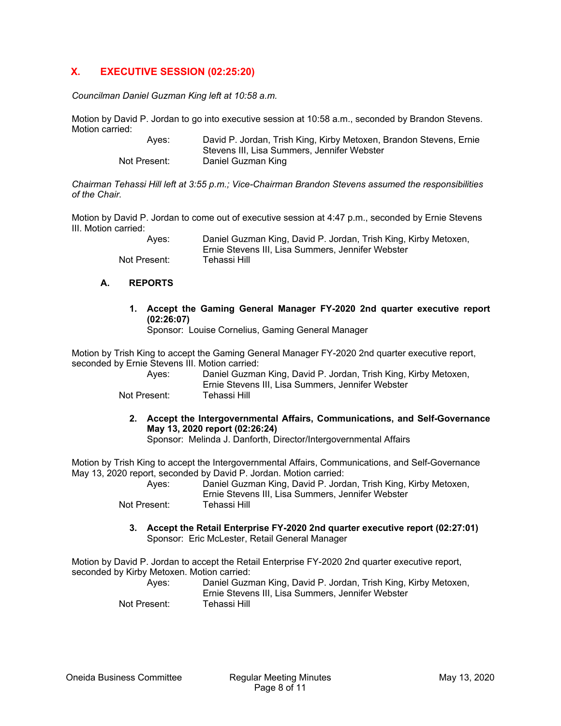# **X. EXECUTIVE SESSION (02:25:20)**

*Councilman Daniel Guzman King left at 10:58 a.m.* 

Motion by David P. Jordan to go into executive session at 10:58 a.m., seconded by Brandon Stevens. Motion carried:

> Ayes: David P. Jordan, Trish King, Kirby Metoxen, Brandon Stevens, Ernie Stevens III, Lisa Summers, Jennifer Webster Not Present: Daniel Guzman King

*Chairman Tehassi Hill left at 3:55 p.m.; Vice-Chairman Brandon Stevens assumed the responsibilities of the Chair.* 

Motion by David P. Jordan to come out of executive session at 4:47 p.m., seconded by Ernie Stevens III. Motion carried:

> Ayes: Daniel Guzman King, David P. Jordan, Trish King, Kirby Metoxen, Ernie Stevens III, Lisa Summers, Jennifer Webster Not Present: Tehassi Hill

#### **A. REPORTS**

**1. Accept the Gaming General Manager FY-2020 2nd quarter executive report (02:26:07)** 

Sponsor: Louise Cornelius, Gaming General Manager

Motion by Trish King to accept the Gaming General Manager FY-2020 2nd quarter executive report, seconded by Ernie Stevens III. Motion carried:

| Aves:        | Daniel Guzman King, David P. Jordan, Trish King, Kirby Metoxen,<br>Ernie Stevens III. Lisa Summers. Jennifer Webster |
|--------------|----------------------------------------------------------------------------------------------------------------------|
| Not Present: | Tehassi Hill                                                                                                         |

**2. Accept the Intergovernmental Affairs, Communications, and Self-Governance May 13, 2020 report (02:26:24)** 

Sponsor: Melinda J. Danforth, Director/Intergovernmental Affairs

Motion by Trish King to accept the Intergovernmental Affairs, Communications, and Self-Governance May 13, 2020 report, seconded by David P. Jordan. Motion carried:

 Ayes: Daniel Guzman King, David P. Jordan, Trish King, Kirby Metoxen, Ernie Stevens III, Lisa Summers, Jennifer Webster Not Present:

**3. Accept the Retail Enterprise FY-2020 2nd quarter executive report (02:27:01)**  Sponsor: Eric McLester, Retail General Manager

Motion by David P. Jordan to accept the Retail Enterprise FY-2020 2nd quarter executive report, seconded by Kirby Metoxen. Motion carried: Ayes: Daniel Guzman King, David P. Jordan, Trish King, Kirby Metoxen,

Ernie Stevens III, Lisa Summers, Jennifer Webster Not Present: Tehassi Hill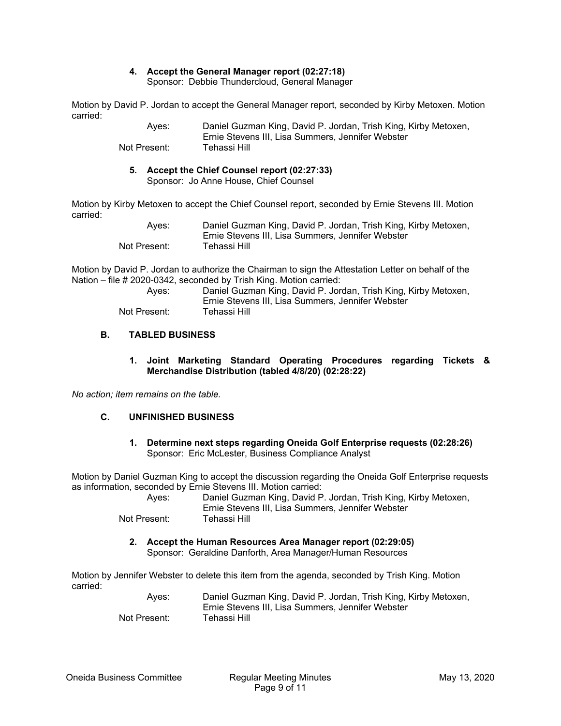## **4. Accept the General Manager report (02:27:18)**

Sponsor: Debbie Thundercloud, General Manager

Motion by David P. Jordan to accept the General Manager report, seconded by Kirby Metoxen. Motion carried:

| Aves:        | Daniel Guzman King, David P. Jordan, Trish King, Kirby Metoxen, |
|--------------|-----------------------------------------------------------------|
|              | Ernie Stevens III. Lisa Summers. Jennifer Webster               |
| Not Present: | Tehassi Hill                                                    |

## **5. Accept the Chief Counsel report (02:27:33)**

Sponsor: Jo Anne House, Chief Counsel

Motion by Kirby Metoxen to accept the Chief Counsel report, seconded by Ernie Stevens III. Motion carried:

| Aves:        | Daniel Guzman King, David P. Jordan, Trish King, Kirby Metoxen,<br>Ernie Stevens III. Lisa Summers. Jennifer Webster |
|--------------|----------------------------------------------------------------------------------------------------------------------|
| Not Present: | Tehassi Hill                                                                                                         |

Motion by David P. Jordan to authorize the Chairman to sign the Attestation Letter on behalf of the Nation – file # 2020-0342, seconded by Trish King. Motion carried:

| Aves:        | Daniel Guzman King, David P. Jordan, Trish King, Kirby Metoxen, |
|--------------|-----------------------------------------------------------------|
|              | Ernie Stevens III. Lisa Summers. Jennifer Webster               |
| Not Present: | Tehassi Hill                                                    |

## **B. TABLED BUSINESS**

#### **1. Joint Marketing Standard Operating Procedures regarding Tickets & Merchandise Distribution (tabled 4/8/20) (02:28:22)**

*No action; item remains on the table.* 

#### **C. UNFINISHED BUSINESS**

**1. Determine next steps regarding Oneida Golf Enterprise requests (02:28:26)**  Sponsor: Eric McLester, Business Compliance Analyst

Motion by Daniel Guzman King to accept the discussion regarding the Oneida Golf Enterprise requests as information, seconded by Ernie Stevens III. Motion carried:

 Ayes: Daniel Guzman King, David P. Jordan, Trish King, Kirby Metoxen, Ernie Stevens III, Lisa Summers, Jennifer Webster Not Present: Tehassi Hill

**2. Accept the Human Resources Area Manager report (02:29:05)** 

Sponsor: Geraldine Danforth, Area Manager/Human Resources

Motion by Jennifer Webster to delete this item from the agenda, seconded by Trish King. Motion carried:

 Ayes: Daniel Guzman King, David P. Jordan, Trish King, Kirby Metoxen, Ernie Stevens III, Lisa Summers, Jennifer Webster Not Present: Tehassi Hill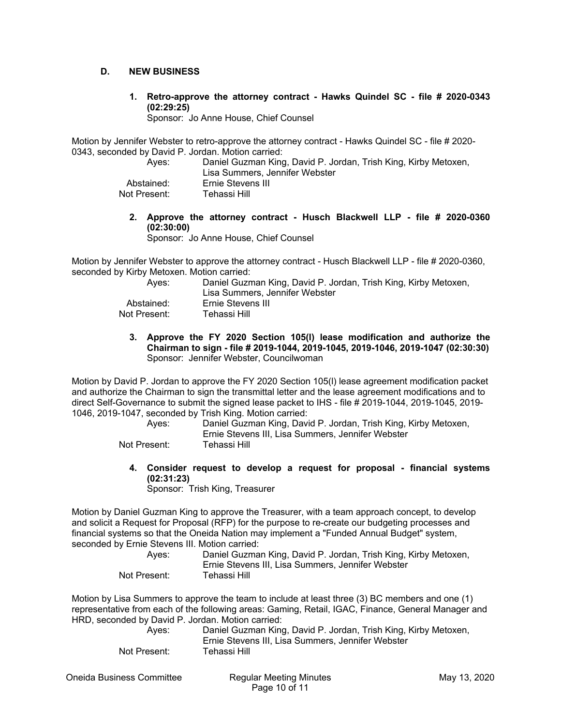## **D. NEW BUSINESS**

**1. Retro-approve the attorney contract - Hawks Quindel SC - file # 2020-0343 (02:29:25)** 

Sponsor: Jo Anne House, Chief Counsel

Motion by Jennifer Webster to retro-approve the attorney contract - Hawks Quindel SC - file # 2020- 0343, seconded by David P. Jordan. Motion carried:

| Aves:        | Daniel Guzman King, David P. Jordan, Trish King, Kirby Metoxen, |
|--------------|-----------------------------------------------------------------|
|              | Lisa Summers, Jennifer Webster                                  |
| Abstained:   | Ernie Stevens III                                               |
| Not Present: | Tehassi Hill I                                                  |

**2. Approve the attorney contract - Husch Blackwell LLP - file # 2020-0360 (02:30:00)** 

Sponsor: Jo Anne House, Chief Counsel

Motion by Jennifer Webster to approve the attorney contract - Husch Blackwell LLP - file # 2020-0360, seconded by Kirby Metoxen. Motion carried:

| Daniel Guzman King, David P. Jordan, Trish King, Kirby Metoxen, |
|-----------------------------------------------------------------|
| Lisa Summers, Jennifer Webster                                  |
| Ernie Stevens III                                               |
| Tehassi Hill I                                                  |
|                                                                 |

**3. Approve the FY 2020 Section 105(l) lease modification and authorize the Chairman to sign - file # 2019-1044, 2019-1045, 2019-1046, 2019-1047 (02:30:30)**  Sponsor: Jennifer Webster, Councilwoman

Motion by David P. Jordan to approve the FY 2020 Section 105(l) lease agreement modification packet and authorize the Chairman to sign the transmittal letter and the lease agreement modifications and to direct Self-Governance to submit the signed lease packet to IHS - file # 2019-1044, 2019-1045, 2019- 1046, 2019-1047, seconded by Trish King. Motion carried:

| Aves:        | Daniel Guzman King, David P. Jordan, Trish King, Kirby Metoxen,<br>Ernie Stevens III, Lisa Summers, Jennifer Webster |
|--------------|----------------------------------------------------------------------------------------------------------------------|
| Not Present: | Tehassi Hill                                                                                                         |

**4. Consider request to develop a request for proposal - financial systems (02:31:23)** 

Sponsor: Trish King, Treasurer

Motion by Daniel Guzman King to approve the Treasurer, with a team approach concept, to develop and solicit a Request for Proposal (RFP) for the purpose to re-create our budgeting processes and financial systems so that the Oneida Nation may implement a "Funded Annual Budget" system, seconded by Ernie Stevens III. Motion carried:

| Aves:        | Daniel Guzman King, David P. Jordan, Trish King, Kirby Metoxen, |
|--------------|-----------------------------------------------------------------|
|              | Ernie Stevens III, Lisa Summers, Jennifer Webster               |
| Not Present: | Tehassi Hill                                                    |

Motion by Lisa Summers to approve the team to include at least three (3) BC members and one (1) representative from each of the following areas: Gaming, Retail, IGAC, Finance, General Manager and HRD, seconded by David P. Jordan. Motion carried:

| Aves:        | Daniel Guzman King, David P. Jordan, Trish King, Kirby Metoxen, |
|--------------|-----------------------------------------------------------------|
|              | Ernie Stevens III, Lisa Summers, Jennifer Webster               |
| Not Present: | Tehassi Hill                                                    |

Oneida Business Committee Regular Meeting Minutes May 13, 2020